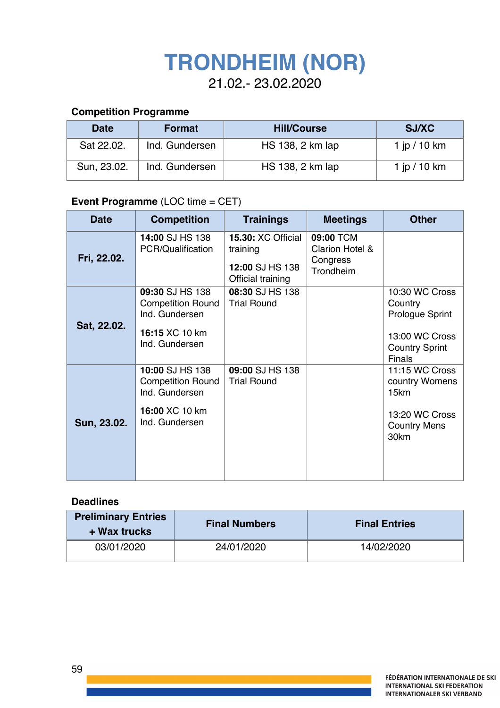# **TRONDHEIM (NOR)**

21.02.- 23.02.2020

# **Competition Programme**

| <b>Date</b> | <b>Format</b>  | <b>Hill/Course</b> | <b>SJ/XC</b>   |
|-------------|----------------|--------------------|----------------|
| Sat 22.02.  | Ind. Gundersen | HS 138, 2 km lap   | 1 jp / 10 km   |
| Sun, 23.02. | Ind. Gundersen | HS 138, 2 km lap   | 1 jp $/$ 10 km |

# **Event Programme** (LOC time = CET)

| <b>Date</b> | <b>Competition</b>                                                                                | <b>Trainings</b>                                                              | <b>Meetings</b>                                                  | <b>Other</b>                                                                                             |
|-------------|---------------------------------------------------------------------------------------------------|-------------------------------------------------------------------------------|------------------------------------------------------------------|----------------------------------------------------------------------------------------------------------|
| Fri, 22.02. | 14:00 SJ HS 138<br>PCR/Qualification                                                              | <b>15.30: XC Official</b><br>training<br>12:00 SJ HS 138<br>Official training | 09:00 TCM<br><b>Clarion Hotel &amp;</b><br>Congress<br>Trondheim |                                                                                                          |
| Sat, 22.02. | 09:30 SJ HS 138<br><b>Competition Round</b><br>Ind. Gundersen<br>16:15 XC 10 km<br>Ind. Gundersen | 08:30 SJ HS 138<br><b>Trial Round</b>                                         |                                                                  | 10:30 WC Cross<br>Country<br>Prologue Sprint<br>13:00 WC Cross<br><b>Country Sprint</b><br><b>Finals</b> |
| Sun, 23.02. | 10:00 SJ HS 138<br><b>Competition Round</b><br>Ind. Gundersen<br>16:00 XC 10 km<br>Ind. Gundersen | 09:00 SJ HS 138<br><b>Trial Round</b>                                         |                                                                  | 11:15 WC Cross<br>country Womens<br>15km<br>13:20 WC Cross<br><b>Country Mens</b><br>30km                |

#### **Deadlines**

| <b>Preliminary Entries</b><br>+ Wax trucks | <b>Final Numbers</b> | <b>Final Entries</b> |  |
|--------------------------------------------|----------------------|----------------------|--|
| 03/01/2020                                 | 24/01/2020           | 14/02/2020           |  |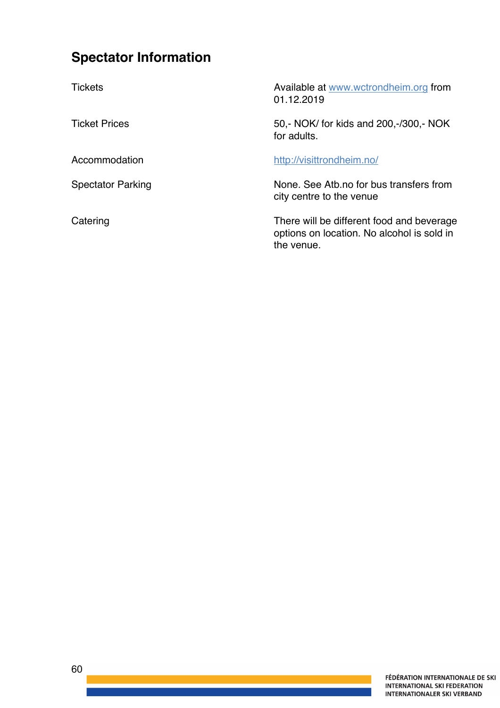# **Spectator Information**

Tickets Available at www.wctrondheim.org from 01.12.2019 Ticket Prices 50,- NOK/ for kids and 200,-/300,- NOK for adults. Accommodation http://visittrondheim.no/ Spectator Parking Spectator Parking Spectator Parking Spectator Parking Spectator Parking Spectator Business C city centre to the venue Catering Catering Catering Catering Catering Catering Catering Catering Catering Catering Catering Catering Catering Catering Catering Catering Catering Catering Catering Catering Catering Catering Catering Catering Cateri options on location. No alcohol is sold in the venue.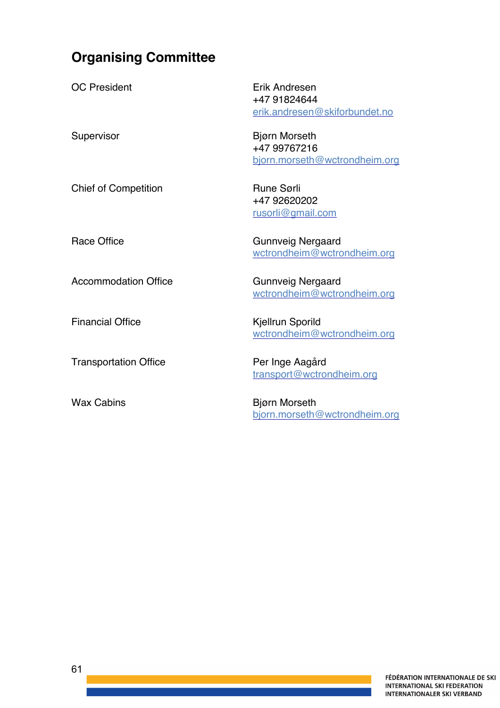# **Organising Committee**

| <b>OC President</b>          | Erik Andresen<br>+47 91824644<br>erik.andresen@skiforbundet.no        |
|------------------------------|-----------------------------------------------------------------------|
| Supervisor                   | <b>Bjørn Morseth</b><br>+47 99767216<br>bjorn.morseth@wctrondheim.org |
| <b>Chief of Competition</b>  | <b>Rune Sørli</b><br>+47 92620202<br><u>rusorli@gmail.com</u>         |
| <b>Race Office</b>           | <b>Gunnveig Nergaard</b><br>wctrondheim@wctrondheim.org               |
| <b>Accommodation Office</b>  | <b>Gunnveig Nergaard</b><br>wctrondheim@wctrondheim.org               |
| <b>Financial Office</b>      | Kjellrun Sporild<br>wctrondheim@wctrondheim.org                       |
| <b>Transportation Office</b> | Per Inge Aagård<br>transport@wctrondheim.org                          |
| <b>Wax Cabins</b>            | <b>Bjørn Morseth</b><br>bjorn.morseth@wctrondheim.org                 |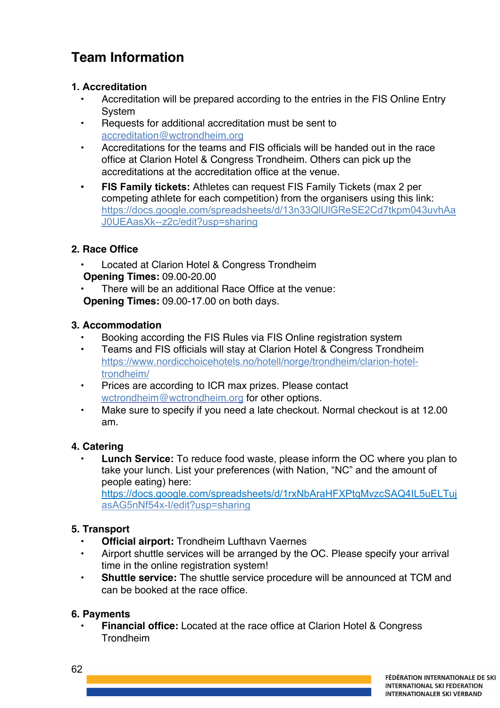# **Team Information**

# **1. Accreditation**

- Accreditation will be prepared according to the entries in the FIS Online Entry System
- Requests for additional accreditation must be sent to accreditation@wctrondheim.org
- Accreditations for the teams and FIS officials will be handed out in the race office at Clarion Hotel & Congress Trondheim. Others can pick up the accreditations at the accreditation office at the venue.
- **FIS Family tickets:** Athletes can request FIS Family Tickets (max 2 per competing athlete for each competition) from the organisers using this link: https://docs.google.com/spreadsheets/d/13n33QlUlGReSE2Cd7tkpm043uvhAa J0UEAasXk--z2c/edit?usp=sharing

# **2. Race Office**

- Located at Clarion Hotel & Congress Trondheim **Opening Times:** 09.00-20.00
- There will be an additional Race Office at the venue: **Opening Times:** 09.00-17.00 on both days.

### **3. Accommodation**

- Booking according the FIS Rules via FIS Online registration system
- Teams and FIS officials will stay at Clarion Hotel & Congress Trondheim https://www.nordicchoicehotels.no/hotell/norge/trondheim/clarion-hoteltrondheim/
- Prices are according to ICR max prizes. Please contact wctrondheim@wctrondheim.org for other options.
- Make sure to specify if you need a late checkout. Normal checkout is at 12.00 am.

# **4. Catering**

• **Lunch Service:** To reduce food waste, please inform the OC where you plan to take your lunch. List your preferences (with Nation, "NC" and the amount of people eating) here: https://docs.google.com/spreadsheets/d/1rxNbAraHFXPtqMvzcSAQ4IL5uELTuj asAG5nNf54x-I/edit?usp=sharing

# **5. Transport**

- **Official airport:** Trondheim Lufthavn Vaernes
- Airport shuttle services will be arranged by the OC. Please specify your arrival time in the online registration system!
- **Shuttle service:** The shuttle service procedure will be announced at TCM and can be booked at the race office.

### **6. Payments**

62

• **Financial office:** Located at the race office at Clarion Hotel & Congress Trondheim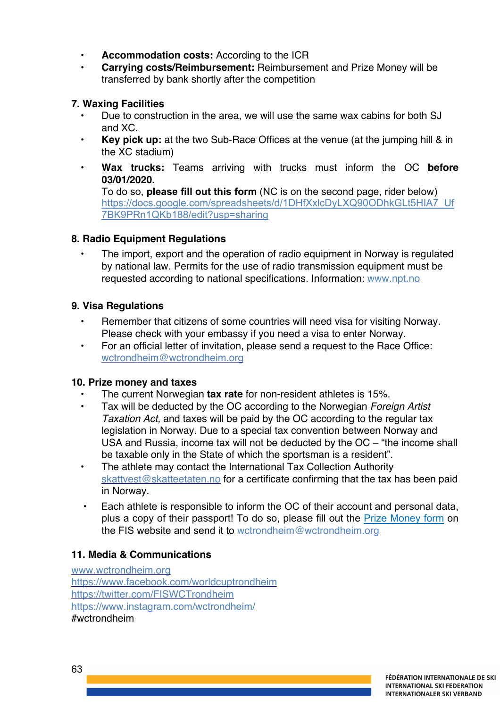- **Accommodation costs:** According to the ICR
- **Carrying costs/Reimbursement:** Reimbursement and Prize Money will be transferred by bank shortly after the competition

### **7. Waxing Facilities**

- Due to construction in the area, we will use the same wax cabins for both SJ and XC.
- **Key pick up:** at the two Sub-Race Offices at the venue (at the jumping hill & in the XC stadium)
- **Wax trucks:** Teams arriving with trucks must inform the OC **before 03/01/2020.**

To do so, **please fill out this form** (NC is on the second page, rider below) https://docs.google.com/spreadsheets/d/1DHfXxlcDyLXQ90ODhkGLt5HIA7\_Uf 7BK9PRn1QKb188/edit?usp=sharing

# **8. Radio Equipment Regulations**

• The import, export and the operation of radio equipment in Norway is regulated by national law. Permits for the use of radio transmission equipment must be requested according to national specifications. Information: www.npt.no

# **9. Visa Regulations**

- Remember that citizens of some countries will need visa for visiting Norway. Please check with your embassy if you need a visa to enter Norway.
- For an official letter of invitation, please send a request to the Race Office: wctrondheim@wctrondheim.org

### **10. Prize money and taxes**

- The current Norwegian **tax rate** for non-resident athletes is 15%.
- Tax will be deducted by the OC according to the Norwegian *Foreign Artist Taxation Act,* and taxes will be paid by the OC according to the regular tax legislation in Norway. Due to a special tax convention between Norway and USA and Russia, income tax will not be deducted by the OC – "the income shall be taxable only in the State of which the sportsman is a resident".
- The athlete may contact the International Tax Collection Authority skattvest@skatteetaten.no for a certificate confirming that the tax has been paid in Norway.
- Each athlete is responsible to inform the OC of their account and personal data, plus a copy of their passport! To do so, please fill out the Prize Money form on the FIS website and send it to wctrondheim@wctrondheim.org

## **11. Media & Communications**

www.wctrondheim.org https://www.facebook.com/worldcuptrondheim https://twitter.com/FISWCTrondheim https://www.instagram.com/wctrondheim/ #wctrondheim